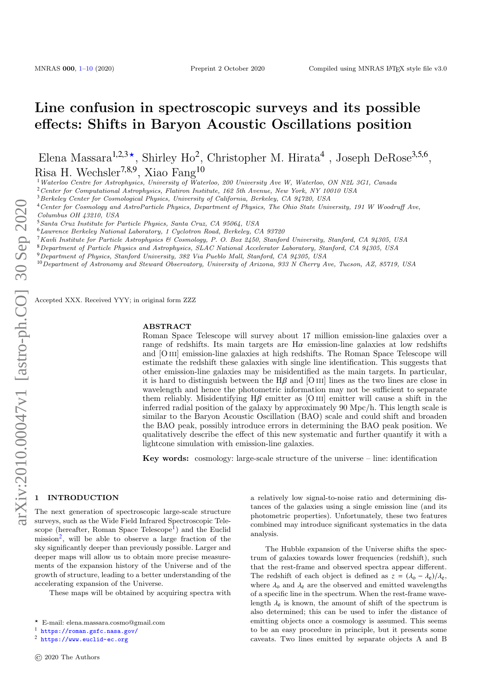# Line confusion in spectroscopic surveys and its possible effects: Shifts in Baryon Acoustic Oscillations position

Elena Massara<sup>1,2,3</sup><sup>\*</sup>, Shirley Ho<sup>2</sup>, Christopher M. Hirata<sup>4</sup>, Joseph DeRose<sup>3,5,6</sup>, Risa H. Wechsler<sup>7,8,9</sup>, Xiao Fang<sup>10</sup>

<sup>1</sup>Waterloo Centre for Astrophysics, University of Waterloo, 200 University Ave W, Waterloo, ON N2L 3G1, Canada

<sup>2</sup>Center for Computational Astrophysics, Flatiron Institute, 162 5th Avenue, New York, NY 10010 USA

<sup>3</sup> Berkeley Center for Cosmological Physics, University of California, Berkeley, CA 94720, USA

<sup>4</sup>Center for Cosmology and AstroParticle Physics, Department of Physics, The Ohio State University, 191 W Woodruff Ave,

<sup>5</sup>Santa Cruz Institute for Particle Physics, Santa Cruz, CA 95064, USA

<sup>6</sup>Lawrence Berkeley National Laboratory, 1 Cyclotron Road, Berkeley, CA 93720

<sup>7</sup>Kavli Institute for Particle Astrophysics & Cosmology, P. O. Box 2450, Stanford University, Stanford, CA 94305, USA

<sup>8</sup>Department of Particle Physics and Astrophysics, SLAC National Accelerator Laboratory, Stanford, CA 94305, USA

- <sup>9</sup>Department of Physics, Stanford University, 382 Via Pueblo Mall, Stanford, CA 94305, USA
- <sup>10</sup>Department of Astronomy and Steward Observatory, University of Arizona, 933 N Cherry Ave, Tucson, AZ, 85719, USA

Accepted XXX. Received YYY; in original form ZZZ

#### ABSTRACT

Roman Space Telescope will survey about 17 million emission-line galaxies over a range of redshifts. Its main targets are  $H\alpha$  emission-line galaxies at low redshifts and [O III] emission-line galaxies at high redshifts. The Roman Space Telescope will estimate the redshift these galaxies with single line identification. This suggests that other emission-line galaxies may be misidentified as the main targets. In particular, it is hard to distinguish between the  $H\beta$  and [O III] lines as the two lines are close in wavelength and hence the photometric information may not be sufficient to separate them reliably. Misidentifying  $H\beta$  emitter as [O III] emitter will cause a shift in the inferred radial position of the galaxy by approximately 90 Mpc/h. This length scale is similar to the Baryon Acoustic Oscillation (BAO) scale and could shift and broaden the BAO peak, possibly introduce errors in determining the BAO peak position. We qualitatively describe the effect of this new systematic and further quantify it with a lightcone simulation with emission-line galaxies.

Key words: cosmology: large-scale structure of the universe – line: identification

## <span id="page-0-0"></span>**INTRODUCTION**

The next generation of spectroscopic large-scale structure surveys, such as the Wide Field Infrared Spectroscopic Tele-scope (hereafter, Roman Space Telescope<sup>[1](#page-0-1)</sup>) and the Euclid mission<sup>[2](#page-0-2)</sup>, will be able to observe a large fraction of the sky significantly deeper than previously possible. Larger and deeper maps will allow us to obtain more precise measurements of the expansion history of the Universe and of the growth of structure, leading to a better understanding of the accelerating expansion of the Universe.

These maps will be obtained by acquiring spectra with

a relatively low signal-to-noise ratio and determining distances of the galaxies using a single emission line (and its photometric properties). Unfortunately, these two features combined may introduce significant systematics in the data analysis.

The Hubble expansion of the Universe shifts the spectrum of galaxies towards lower frequencies (redshift), such that the rest-frame and observed spectra appear different. The redshift of each object is defined as  $z = (\lambda_0 - \lambda_e)/\lambda_e$ , where  $\lambda_0$  and  $\lambda_e$  are the observed and emitted wavelengths of a specific line in the spectrum. When the rest-frame wavelength  $\lambda_e$  is known, the amount of shift of the spectrum is also determined; this can be used to infer the distance of emitting objects once a cosmology is assumed. This seems to be an easy procedure in principle, but it presents some caveats. Two lines emitted by separate objects A and B

Columbus OH 43210, USA

<sup>?</sup> E-mail: elena.massara.cosmo@gmail.com

<span id="page-0-1"></span><sup>1</sup> <https://roman.gsfc.nasa.gov/>

<span id="page-0-2"></span><sup>2</sup> <https://www.euclid-ec.org>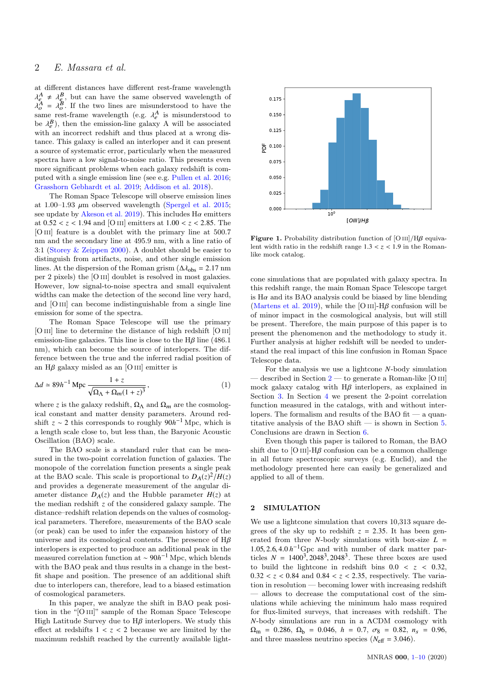# 2 E. Massara et al.

at different distances have different rest-frame wavelength λ  $A = A_B^B$ , but can have the same observed wavelength of  $A = A_B^B$ . If the two lines are misunderstood to have the one rest frame wavelength ( $a \times A$  is misunderstood to same rest-frame wavelength (e.g.  $\lambda_e^A$  is misunderstood to same rest-frame wavelength (e.g.  $\lambda_e^A$  is misunderstood to be  $\lambda_e^B$ ) then the emission line galaxy  $\lambda$  will be associated be  $\lambda_e^B$ ), then the emission-line galaxy A will be associated<br>with an incorrect redshift and thus placed at a wrong diswith an incorrect redshift and thus placed at a wrong distance. This galaxy is called an interloper and it can present a source of systematic error, particularly when the measured spectra have a low signal-to-noise ratio. This presents even more significant problems when each galaxy redshift is computed with a single emission line (see e.g. [Pullen et al.](#page-7-0) [2016;](#page-7-0) [Grasshorn Gebhardt et al.](#page-7-1) [2019;](#page-7-1) [Addison et al.](#page-7-2) [2018\)](#page-7-2).

The Roman Space Telescope will observe emission lines at 1.00–1.93  $\mu$ m observed wavelength [\(Spergel et al.](#page-7-3) [2015;](#page-7-3) see update by [Akeson et al.](#page-7-4) [2019\)](#page-7-4). This includes  $H\alpha$  emitters at <sup>0</sup>.<sup>52</sup> < *<sup>z</sup>* < <sup>1</sup>.<sup>94</sup> and [O iii] emitters at <sup>1</sup>.<sup>00</sup> < *<sup>z</sup>* < <sup>2</sup>.85. The [O III] feature is a doublet with the primary line at 500.7 nm and the secondary line at 495.9 nm, with a line ratio of 3:1 [\(Storey & Zeippen](#page-7-5) [2000\)](#page-7-5). A doublet should be easier to distinguish from artifacts, noise, and other single emission lines. At the dispersion of the Roman grism ( $\Delta \lambda_{\rm obs} = 2.17$  nm per 2 pixels) the [O iii] doublet is resolved in most galaxies. However, low signal-to-noise spectra and small equivalent widths can make the detection of the second line very hard, and [O III] can become indistinguishable from a single line emission for some of the spectra.

The Roman Space Telescope will use the primary [O III] line to determine the distance of high redshift [O III] emission-line galaxies. This line is close to the  $H\beta$  line (486.1) nm), which can become the source of interlopers. The difference between the true and the inferred radial position of an  $H\beta$  galaxy misled as an [O III] emitter is

$$
\Delta d \simeq 89h^{-1} \operatorname{Mpc} \frac{1+z}{\sqrt{\Omega_{\Lambda} + \Omega_m (1+z)^3}},\tag{1}
$$

where *z* is the galaxy redshift,  $\Omega_{\Lambda}$  and  $\Omega_{m}$  are the cosmological constant and matter density parameters. Around redshift  $z \sim 2$  this corresponds to roughly  $90h^{-1}$  Mpc, which is a length scale close to, but less than, the Baryonic Acoustic Oscillation (BAO) scale.

The BAO scale is a standard ruler that can be measured in the two-point correlation function of galaxies. The monopole of the correlation function presents a single peak at the BAO scale. This scale is proportional to  $D_A(z)^2/H(z)$ and provides a degenerate measurement of the angular diameter distance  $D_A(z)$  and the Hubble parameter  $H(z)$  at the median redshift *z* of the considered galaxy sample. The distance–redshift relation depends on the values of cosmological parameters. Therefore, measurements of the BAO scale (or peak) can be used to infer the expansion history of the universe and its cosmological contents. The presence of  $H\beta$ interlopers is expected to produce an additional peak in the measured correlation function at  $\sim 90h^{-1}$  Mpc, which blends with the BAO peak and thus results in a change in the bestfit shape and position. The presence of an additional shift due to interlopers can, therefore, lead to a biased estimation of cosmological parameters.

In this paper, we analyze the shift in BAO peak position in the "[O III]" sample of the Roman Space Telescope High Latitude Survey due to  $H\beta$  interlopers. We study this effect at redshifts  $1 \leq z \leq 2$  because we are limited by the maximum redshift reached by the currently available light-



<span id="page-1-1"></span>Figure 1. Probability distribution function of [O iii]/Hβ equivalent width ratio in the redshift range  $1.3 < z < 1.9$  in the Romanlike mock catalog.

cone simulations that are populated with galaxy spectra. In this redshift range, the main Roman Space Telescope target is  $H\alpha$  and its BAO analysis could be biased by line blending [\(Martens et al.](#page-7-6) [2019\)](#page-7-6), while the [O III]- $H\beta$  confusion will be of minor impact in the cosmological analysis, but will still be present. Therefore, the main purpose of this paper is to present the phenomenon and the methodology to study it. Further analysis at higher redshift will be needed to understand the real impact of this line confusion in Roman Space Telescope data.

<span id="page-1-2"></span>For the analysis we use a lightcone *N*-body simulation described in Section  $2$  — to generate a Roman-like [O III] mock galaxy catalog with  $H\beta$  interlopers, as explained in Section [3.](#page-2-0) In Section [4](#page-2-1) we present the 2-point correlation function measured in the catalogs, with and without interlopers. The formalism and results of the BAO fit — a quantitative analysis of the BAO shift — is shown in Section [5.](#page-3-0) Conclusions are drawn in Section [6.](#page-7-7)

Even though this paper is tailored to Roman, the BAO shift due to  $[O III]$ -H $\beta$  confusion can be a common challenge in all future spectroscopic surveys (e.g. Euclid), and the methodology presented here can easily be generalized and applied to all of them.

#### <span id="page-1-0"></span>2 SIMULATION

We use a lightcone simulation that covers 10,313 square degrees of the sky up to redshift  $z = 2.35$ . It has been generated from three *N*-body simulations with box-size  $L =$ 1.05, 2.6, 4.0  $h^{-1}$ Gpc and with number of dark matter par-<br>ticles  $N = 1400^3$  2048<sup>3</sup> 2048<sup>3</sup> These three boxes are used ticles  $N = 1400^3$ , 2048<sup>3</sup>, 2048<sup>3</sup>. These three boxes are used<br>to build the lightcone in redshift bins  $0.0 \le z \le 0.32$ to build the lightcone in redshift bins  $0.0 < z < 0.32$ ,  $0.32 < z < 0.84$  and  $0.84 < z < 2.35$ , respectively. The variation in resolution — becoming lower with increasing redshift — allows to decrease the computational cost of the simulations while achieving the minimum halo mass required for flux-limited surveys, that increases with redshift. The *N*-body simulations are run in a ΛCDM cosmology with  $\Omega_{\rm m}$  = 0.286,  $\Omega_{\rm b}$  = 0.046,  $h$  = 0.7,  $\sigma_8$  = 0.82,  $n_s$  = 0.96, and three massless neutrino species  $(N_{\text{eff}} = 3.046)$ .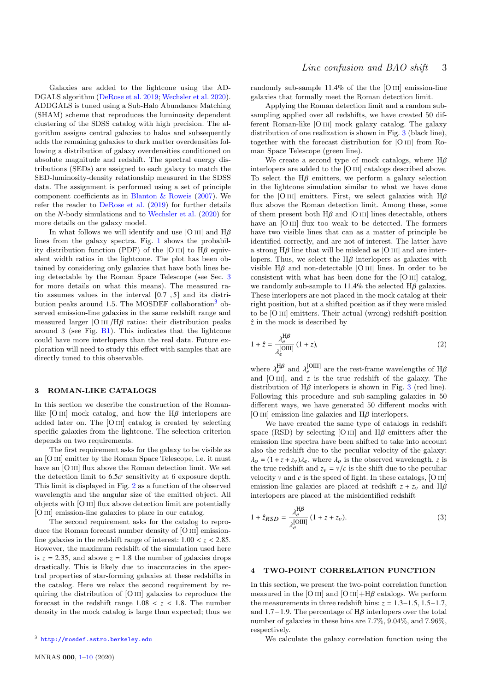Galaxies are added to the lightcone using the AD-DGALS algorithm [\(DeRose et al.](#page-7-8) [2019;](#page-7-8) [Wechsler et al.](#page-7-9) [2020\)](#page-7-9). ADDGALS is tuned using a Sub-Halo Abundance Matching (SHAM) scheme that reproduces the luminosity dependent clustering of the SDSS catalog with high precision. The algorithm assigns central galaxies to halos and subsequently adds the remaining galaxies to dark matter overdensities following a distribution of galaxy overdensities conditioned on absolute magnitude and redshift. The spectral energy distributions (SEDs) are assigned to each galaxy to match the SED-luminosity-density relationship measured in the SDSS data. The assignment is performed using a set of principle component coefficients as in [Blanton & Roweis](#page-7-10) [\(2007\)](#page-7-10). We refer the reader to [DeRose et al.](#page-7-8) [\(2019\)](#page-7-8) for further details on the *N*-body simulations and to [Wechsler et al.](#page-7-9) [\(2020\)](#page-7-9) for more details on the galaxy model.

In what follows we will identify and use [O III] and  $H\beta$ lines from the galaxy spectra. Fig. [1](#page-1-1) shows the probability distribution function (PDF) of the [O III] to  $H\beta$  equivalent width ratios in the lightcone. The plot has been obtained by considering only galaxies that have both lines being detectable by the Roman Space Telescope (see Sec. [3](#page-2-0) for more details on what this means). The measured ratio assumes values in the interval [0.<sup>7</sup> , <sup>5</sup>] and its distri-bution peaks around 1.5. The MOSDEF collaboration<sup>[3](#page-2-2)</sup> observed emission-line galaxies in the same redshift range and measured larger  $[O III]/H\beta$  ratios: their distribution peaks around 3 (see Fig. [B1\)](#page-9-1). This indicates that the lightcone could have more interlopers than the real data. Future exploration will need to study this effect with samples that are directly tuned to this observable.

### <span id="page-2-0"></span>3 ROMAN-LIKE CATALOGS

In this section we describe the construction of the Romanlike [O III] mock catalog, and how the  $H\beta$  interlopers are added later on. The [O III] catalog is created by selecting specific galaxies from the lightcone. The selection criterion depends on two requirements.

The first requirement asks for the galaxy to be visible as an [O III] emitter by the Roman Space Telescope, i.e. it must have an [O III] flux above the Roman detection limit. We set the detection limit to  $6.5\sigma$  sensitivity at 6 exposure depth. This limit is displayed in Fig. [2](#page-3-1) as a function of the observed wavelength and the angular size of the emitted object. All objects with [O iii] flux above detection limit are potentially [O III] emission-line galaxies to place in our catalog.

The second requirement asks for the catalog to reproduce the Roman forecast number density of [O III] emissionline galaxies in the redshift range of interest:  $1.00 < z < 2.85$ . However, the maximum redshift of the simulation used here is  $z = 2.35$ , and above  $z = 1.8$  the number of galaxies drops drastically. This is likely due to inaccuracies in the spectral properties of star-forming galaxies at these redshifts in the catalog. Here we relax the second requirement by requiring the distribution of [O iii] galaxies to reproduce the forecast in the redshift range  $1.08 < z < 1.8$ . The number density in the mock catalog is large than expected; thus we randomly sub-sample  $11.4\%$  of the the [O III] emission-line galaxies that formally meet the Roman detection limit.

Applying the Roman detection limit and a random subsampling applied over all redshifts, we have created 50 different Roman-like [O iii] mock galaxy catalog. The galaxy distribution of one realization is shown in Fig. [3](#page-3-2) (black line), together with the forecast distribution for [O iii] from Roman Space Telescope (green line).

We create a second type of mock catalogs, where  $H\beta$ interlopers are added to the [O iii] catalogs described above. To select the  $H\beta$  emitters, we perform a galaxy selection in the lightcone simulation similar to what we have done for the [O III] emitters. First, we select galaxies with  $H\beta$ flux above the Roman detection limit. Among these, some of them present both  $H\beta$  and [O III] lines detectable, others have an [O III] flux too weak to be detected. The formers have two visible lines that can as a matter of principle be identified correctly, and are not of interest. The latter have a strong  $H\beta$  line that will be mislead as [O III] and are interlopers. Thus, we select the  $H\beta$  interlopers as galaxies with visible  $H\beta$  and non-detectable [O III] lines. In order to be consistent with what has been done for the [O iii] catalog, we randomly sub-sample to 11.4% the selected  $H\beta$  galaxies. These interlopers are not placed in the mock catalog at their right position, but at a shifted position as if they were misled to be [O iii] emitters. Their actual (wrong) redshift-position  $\hat{z}$  in the mock is described by

$$
1 + \hat{z} = \frac{\lambda_e^{\text{H}\beta}}{\lambda_e^{\text{[OIII]}}} (1 + z), \tag{2}
$$

where  $\lambda_e^{\text{H}\beta}$  and  $\lambda_e^{\text{[OIII]}}$  are the rest-frame wavelengths of H $\beta$  and [O III], and *z* is the true redshift of the galaxy. The distribution of  $H\beta$  interlopers is shown in Fig. [3](#page-3-2) (red line). Following this procedure and sub-sampling galaxies in 50 different ways, we have generated 50 different mocks with [O III] emission-line galaxies and  $H\beta$  interlopers.

We have created the same type of catalogs in redshift space (RSD) by selecting [O III] and  $H\beta$  emitters after the emission line spectra have been shifted to take into account also the redshift due to the peculiar velocity of the galaxy:  $\lambda_o = (1 + z + z_v)\lambda_e$ , where  $\lambda_o$  is the observed wavelength, *z* is the true redshift and  $z_v = v/c$  is the shift due to the peculiar velocity  $v$  and  $c$  is the speed of light. In these catalogs,  $[O \text{ III}]$ emission-line galaxies are placed at redshift  $z + z<sub>v</sub>$  and H $\beta$ interlopers are placed at the misidentified redshift

$$
1 + \hat{z}_{RSD} = \frac{\lambda_e^{\text{H}\beta}}{\lambda_e^{\text{[OIII]}}} \left( 1 + z + z_v \right). \tag{3}
$$

## <span id="page-2-1"></span>4 TWO-POINT CORRELATION FUNCTION

In this section, we present the two-point correlation function measured in the [O III] and [O III]+H $\beta$  catalogs. We perform the measurements in three redshift bins:  $z = 1.3-1.5, 1.5-1.7$ , and 1.7−1.9. The percentage of  $H\beta$  interlopers over the total number of galaxies in these bins are 7.7%, 9.04%, and 7.96%, respectively.

We calculate the galaxy correlation function using the

<span id="page-2-2"></span><sup>3</sup> <http://mosdef.astro.berkeley.edu>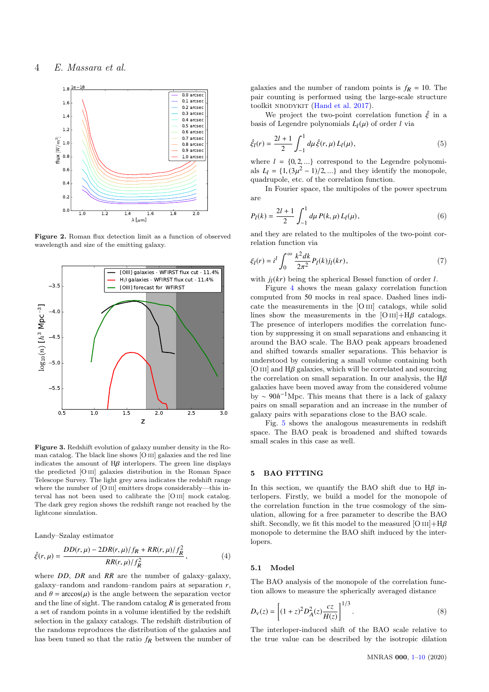

Figure 2. Roman flux detection limit as a function of observed wavelength and size of the emitting galaxy.



<span id="page-3-2"></span>Figure 3. Redshift evolution of galaxy number density in the Roman catalog. The black line shows [O iii] galaxies and the red line indicates the amount of  $H\beta$  interlopers. The green line displays the predicted [O iii] galaxies distribution in the Roman Space Telescope Survey. The light grey area indicates the redshift range where the number of [O III] emitters drops considerably—this interval has not been used to calibrate the [O III] mock catalog. The dark grey region shows the redshift range not reached by the lightcone simulation.

Landy–Szalay estimator

$$
\hat{\xi}(r,\mu) = \frac{DD(r,\mu) - 2DR(r,\mu)/f_R + RR(r,\mu)/f_R^2}{RR(r,\mu)/f_R^2},\tag{4}
$$

where *DD*, *DR* and *RR* are the number of galaxy–galaxy, galaxy–random and random–random pairs at separation *r*, and  $\theta = \arccos(\mu)$  is the angle between the separation vector and the line of sight. The random catalog *R* is generated from a set of random points in a volume identified by the redshift selection in the galaxy catalogs. The redshift distribution of the randoms reproduces the distribution of the galaxies and has been tuned so that the ratio  $f_R$  between the number of galaxies and the number of random points is  $f_R = 10$ . The pair counting is performed using the large-scale structure toolkit NBODYKIT [\(Hand et al.](#page-7-11) [2017\)](#page-7-11).

We project the two-point correlation function  $\hat{\xi}$  in a basis of Legendre polynomials  $L_l(\mu)$  of order *l* via

$$
\hat{\xi}_l(r) = \frac{2l+1}{2} \int_{-1}^1 d\mu \,\hat{\xi}(r,\mu) \, L_l(\mu),\tag{5}
$$

where  $l = \{0, 2, ...\}$  correspond to the Legendre polynomi-<br>als  $l_1 = \{1, (3n^2 - 1)/2\}$  and they identify the monopole als  $L_l = \{1, (3\mu^2 - 1)/2, ...\}$  and they identify the monopole, quadrupole, etc. of the correlation function.

<span id="page-3-3"></span>In Fourier space, the multipoles of the power spectrum are

$$
P_{l}(k) = \frac{2l+1}{2} \int_{-1}^{1} d\mu P(k,\mu) L_{l}(\mu),
$$
\n(6)

<span id="page-3-1"></span>and they are related to the multipoles of the two-point correlation function via

<span id="page-3-4"></span>
$$
\xi_l(r) = i^l \int_0^\infty \frac{k^2 dk}{2\pi^2} P_l(k) j_l(kr),\tag{7}
$$

with  $j_l(kr)$  being the spherical Bessel function of order *l*.

Figure [4](#page-4-0) shows the mean galaxy correlation function computed from 50 mocks in real space. Dashed lines indicate the measurements in the [O iii] catalogs, while solid lines show the measurements in the  $[O III]+H\beta$  catalogs. The presence of interlopers modifies the correlation function by suppressing it on small separations and enhancing it around the BAO scale. The BAO peak appears broadened and shifted towards smaller separations. This behavior is understood by considering a small volume containing both  $[O III]$  and  $H\beta$  galaxies, which will be correlated and sourcing the correlation on small separation. In our analysis, the  $H\beta$ galaxies have been moved away from the considered volume by ∼ 90*h* <sup>−</sup>1Mpc. This means that there is a lack of galaxy pairs on small separation and an increase in the number of galaxy pairs with separations close to the BAO scale.

Fig. [5](#page-4-1) shows the analogous measurements in redshift space. The BAO peak is broadened and shifted towards small scales in this case as well.

## <span id="page-3-0"></span>5 BAO FITTING

In this section, we quantify the BAO shift due to  $H\beta$  interlopers. Firstly, we build a model for the monopole of the correlation function in the true cosmology of the simulation, allowing for a free parameter to describe the BAO shift. Secondly, we fit this model to the measured [O  $\text{III}$ ]+H $\beta$ monopole to determine the BAO shift induced by the interlopers.

#### 5.1 Model

The BAO analysis of the monopole of the correlation function allows to measure the spherically averaged distance

$$
D_{\nu}(z) = \left[ (1+z)^2 D_A^2(z) \frac{cz}{H(z)} \right]^{1/3}.
$$
 (8)

The interloper-induced shift of the BAO scale relative to the true value can be described by the isotropic dilation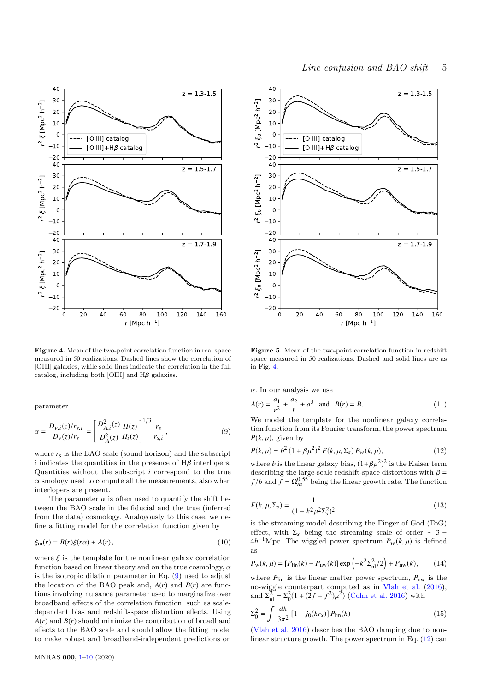

<span id="page-4-0"></span>Figure 4. Mean of the two-point correlation function in real space measured in 50 realizations. Dashed lines show the correlation of [OIII] galaxies, while solid lines indicate the correlation in the full catalog, including both [OIII] and  $H\beta$  galaxies.

<span id="page-4-2"></span>parameter

$$
\alpha = \frac{D_{v,i}(z)/r_{s,i}}{D_v(z)/r_s} = \left[\frac{D_{A,i}^2(z)}{D_A^2(z)}\frac{H(z)}{H_i(z)}\right]^{1/3} \frac{r_s}{r_{s,i}},\tag{9}
$$

where  $r_s$  is the BAO scale (sound horizon) and the subscript *i* indicates the quantities in the presence of  $H\beta$  interlopers. Quantities without the subscript *i* correspond to the true cosmology used to compute all the measurements, also when interlopers are present.

The parameter  $\alpha$  is often used to quantify the shift between the BAO scale in the fiducial and the true (inferred from the data) cosmology. Analogously to this case, we define a fitting model for the correlation function given by

$$
\xi_{\rm m}(r) = B(r)\xi(r\alpha) + A(r),\tag{10}
$$

where  $\xi$  is the template for the nonlinear galaxy correlation function based on linear theory and on the true cosmology,  $\alpha$ is the isotropic dilation parameter in Eq.  $(9)$  used to adjust the location of the BAO peak and,  $A(r)$  and  $B(r)$  are functions involving nuisance parameter used to marginalize over broadband effects of the correlation function, such as scaledependent bias and redshift-space distortion effects. Using  $A(r)$  and  $B(r)$  should minimize the contribution of broadband effects to the BAO scale and should allow the fitting model to make robust and broadband-independent predictions on



<span id="page-4-1"></span>Figure 5. Mean of the two-point correlation function in redshift space measured in 50 realizations. Dashed and solid lines are as in Fig. [4.](#page-4-0)

 $\alpha$ . In our analysis we use

$$
A(r) = \frac{a_1}{r^2} + \frac{a_2}{r} + a^3 \quad \text{and} \quad B(r) = B. \tag{11}
$$

We model the template for the nonlinear galaxy correlation function from its Fourier transform, the power spectrum  $P(k, \mu)$ , given by

<span id="page-4-3"></span>
$$
P(k,\mu) = b^2 (1 + \beta \mu^2)^2 F(k,\mu,\Sigma_s) P_w(k,\mu),
$$
\n(12)

where *b* is the linear galaxy bias,  $(1+\beta\mu^2)^2$  is the Kaiser term<br>describing the large scale redshift space distortions with  $\beta$ describing the large-scale redshift-space distortions with  $\beta = f/b$  and  $f = \Omega_m^{0.55}$  being the linear growth rate. The function

$$
F(k, \mu, \Sigma_s) = \frac{1}{(1 + k^2 \mu^2 \Sigma_s^2)^2}
$$
 (13)

is the streaming model describing the Finger of God (FoG) effect, with  $\Sigma_s$  being the streaming scale of order ~ 3 −  $4h^{-1}\text{Mpc}$ . The wiggled power spectrum  $P_w(k,\mu)$  is defined as

$$
P_{\rm w}(k,\mu) = [P_{\rm lin}(k) - P_{\rm nw}(k)] \exp\left(-k^2 \Sigma_{\rm nl}^2/2\right) + P_{\rm nw}(k),\tag{14}
$$

where  $P_{lin}$  is the linear matter power spectrum,  $P_{nw}$  is the no-wiggle counterpart computed as in [Vlah et al.](#page-7-12) [\(2016\)](#page-7-12), and  $\Sigma_{\text{nl}}^2 = \Sigma_0^2 (1 + (2f + f^2)\mu^2)$  [\(Cohn et al.](#page-7-13) [2016\)](#page-7-13) with

$$
\Sigma_0^2 = \int \frac{dk}{3\pi^2} \left[1 - j_0(kr_s)\right] P_{\text{lin}}(k) \tag{15}
$$
\n(Vlah et al. 2016) describes the BAO damping due to non-

linear structure growth. The power spectrum in Eq. [\(12\)](#page-4-3) can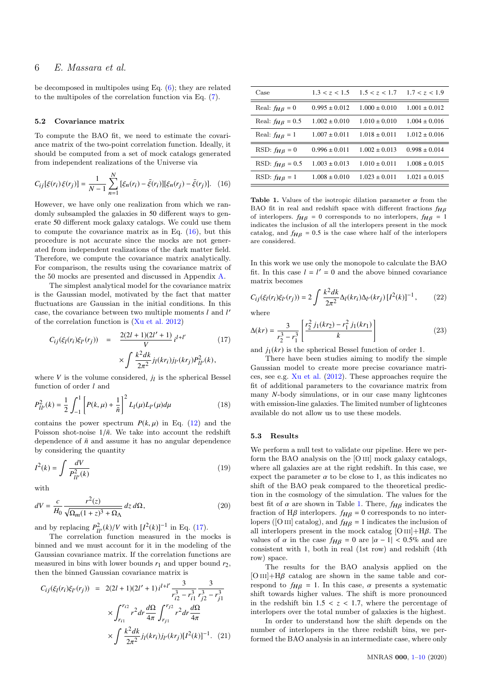be decomposed in multipoles using Eq.  $(6)$ ; they are related to the multipoles of the correlation function via Eq. [\(7\)](#page-3-4).

#### 5.2 Covariance matrix

To compute the BAO fit, we need to estimate the covariance matrix of the two-point correlation function. Ideally, it should be computed from a set of mock catalogs generated from independent realizations of the Universe via

$$
C_{ij}[\xi(r_i)\xi(r_j)] = \frac{1}{N-1}\sum_{n=1}^{N} [\xi_n(r_i) - \bar{\xi}(r_i)][\xi_n(r_j) - \bar{\xi}(r_j)].
$$
 (16)

However, we have only one realization from which we randomly subsampled the galaxies in 50 different ways to generate 50 different mock galaxy catalogs. We could use them to compute the covariance matrix as in Eq. [\(16\)](#page-5-0), but this procedure is not accurate since the mocks are not generated from independent realizations of the dark matter field. Therefore, we compute the covariance matrix analytically. For comparison, the results using the covariance matrix of the 50 mocks are presented and discussed in Appendix [A.](#page-7-14)

The simplest analytical model for the covariance matrix is the Gaussian model, motivated by the fact that matter fluctuations are Gaussian in the initial conditions. In this case, the covariance between two multiple moments *l* and *l* 0 of the correlation function is [\(Xu et al.](#page-7-15) [2012\)](#page-7-15)

<span id="page-5-1"></span>
$$
C_{ij}(\xi_l(r_i)\xi_{l'}(r_j)) = \frac{2(2l+1)(2l'+1)}{V}i^{l+l'} \qquad (17)
$$

$$
\times \int \frac{k^2 dk}{2\pi^2} j_l(kr_i)j_{l'}(kr_j)P_{l,l'}^2(k),
$$

where  $V$  is the volume considered,  $j_l$  is the spherical Bessel function of order *l* and

$$
P_{ll'}^2(k) = \frac{1}{2} \int_{-1}^1 \left[ P(k,\mu) + \frac{1}{\bar{n}} \right]^2 L_l(\mu) L_{l'}(\mu) d\mu \tag{18}
$$

contains the power spectrum  $P(k,\mu)$  in Eq. [\(12\)](#page-4-3) and the Poisson shot-noise  $1/\bar{n}$ . We take into account the redshift dependence of  $\bar{n}$  and assume it has no angular dependence by considering the quantity

$$
I^2(k) = \int \frac{dV}{P_{ll'}^2(k)}\tag{19}
$$

with

$$
dV = \frac{c}{H_0} \frac{r^2(z)}{\sqrt{\Omega_m (1+z)^3 + \Omega_\Lambda}} dz d\Omega,
$$
\n(20)

and by replacing  $P_{ll'}^2(k)/V$  with  $[I^2(k)]^{-1}$  in Eq. [\(17\)](#page-5-1).

The correlation function measured in the mocks is binned and we must account for it in the modeling of the Gaussian covariance matrix. If the correlation functions are measured in bins with lower bounds  $r_1$  and upper bound  $r_2$ , then the binned Gaussian covariance matrix is

$$
C_{ij}(\xi_l(r_i)\xi_{l'}(r_j)) = 2(2l+1)(2l'+1)i^{l+l'} \frac{3}{r_{i2}^3 - r_{i1}^3} \frac{3}{r_{j2}^3 - r_{j1}^3}
$$

$$
\times \int_{r_{i1}}^{r_{i2}} r^2 dr \frac{d\Omega}{4\pi} \int_{r_{j1}}^{r_{j2}} r^2 dr \frac{d\Omega}{4\pi}
$$

$$
\times \int \frac{k^2 dk}{2\pi^2} j_l(kr_i) j_{l'}(kr_j) [I^2(k)]^{-1}. (21)
$$

| Case                    | 1.3 < z < 1.5     | 1.5 < z < 1.7     | 1.7 < z < 1.9     |
|-------------------------|-------------------|-------------------|-------------------|
| Real: $f_{HB} = 0$      | $0.995 \pm 0.012$ | $1.000 \pm 0.010$ | $1.001 \pm 0.012$ |
| Real: $f_{HB} = 0.5$    | $1.002 \pm 0.010$ | $1.010 \pm 0.010$ | $1.004 \pm 0.016$ |
| Real: $f_{HB} = 1$      | $1.007 \pm 0.011$ | $1.018 \pm 0.011$ | $1.012 \pm 0.016$ |
| RSD: $f_{H\beta} = 0$   | $0.996 \pm 0.011$ | $1.002 \pm 0.013$ | $0.998 \pm 0.014$ |
| RSD: $f_{H\beta} = 0.5$ | $1.003 \pm 0.013$ | $1.010 \pm 0.011$ | $1.008 \pm 0.015$ |
| RSD: $f_{H\beta} = 1$   | $1.008 \pm 0.010$ | $1.023 \pm 0.011$ | $1.021 \pm 0.015$ |

<span id="page-5-2"></span><span id="page-5-0"></span>Table 1. Values of the isotropic dilation parameter  $\alpha$  from the BAO fit in real and redshift space with different fractions  $f_{HB}$ of interlopers.  $f_{HB} = 0$  corresponds to no interlopers,  $f_{HB} = 1$ indicates the inclusion of all the interlopers present in the mock catalog, and  $f_{H\beta} = 0.5$  is the case where half of the interlopers are considered.

In this work we use only the monopole to calculate the BAO fit. In this case  $l = l' = 0$  and the above binned covariance matrix becomes

$$
C_{ij}(\xi_l(r_i)\xi_{l'}(r_j)) = 2 \int \frac{k^2 dk}{2\pi^2} \Delta_l(kr_i) \Delta_{l'}(kr_j) [I^2(k)]^{-1}, \qquad (22)
$$

where

$$
\Delta(kr) = \frac{3}{r_2^3 - r_1^3} \left[ \frac{r_2^2 j_1(kr_2) - r_1^2 j_1(kr_1)}{k} \right]
$$
 (23)

and  $j_1(kr)$  is the spherical Bessel function of order 1.

There have been studies aiming to modify the simple Gaussian model to create more precise covariance matrices, see e.g. [Xu et al.](#page-7-15) [\(2012\)](#page-7-15). These approaches require the fit of additional parameters to the covariance matrix from many *N*-body simulations, or in our case many lightcones with emission-line galaxies. The limited number of lightcones available do not allow us to use these models.

#### 5.3 Results

We perform a null test to validate our pipeline. Here we perform the BAO analysis on the [O iii] mock galaxy catalogs, where all galaxies are at the right redshift. In this case, we expect the parameter  $\alpha$  to be close to 1, as this indicates no shift of the BAO peak compared to the theoretical prediction in the cosmology of the simulation. The values for the best fit of  $\alpha$  are shown in Table [1.](#page-5-2) There,  $f_{H\beta}$  indicates the fraction of H $\beta$  interlopers.  $f_{H\beta} = 0$  corresponds to no interlopers ([O III] catalog), and  $f_{H\beta} = 1$  indicates the inclusion of all interlopers present in the mock catalog  $[O III]+H\beta$ . The values of  $\alpha$  in the case  $f_{H\beta} = 0$  are  $|\alpha - 1| < 0.5\%$  and are consistent with 1, both in real (1st row) and redshift (4th row) space.

The results for the BAO analysis applied on the  $[O III]+H\beta$  catalog are shown in the same table and correspond to  $f_{HB} = 1$ . In this case,  $\alpha$  presents a systematic shift towards higher values. The shift is more pronounced in the redshift bin  $1.5 < z < 1.7$ , where the percentage of interlopers over the total number of galaxies is the highest.

In order to understand how the shift depends on the number of interlopers in the three redshift bins, we performed the BAO analysis in an intermediate case, where only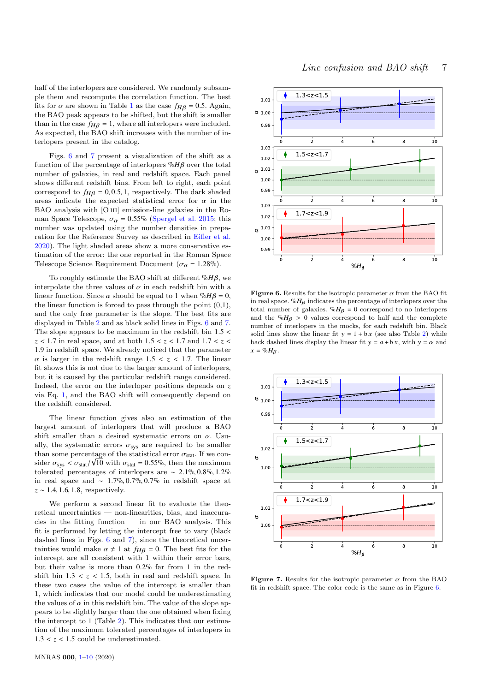half of the interlopers are considered. We randomly subsample them and recompute the correlation function. The best fits for  $\alpha$  are shown in Table [1](#page-5-2) as the case  $f_{H\beta} = 0.5$ . Again, the BAO peak appears to be shifted, but the shift is smaller than in the case  $f_{HB} = 1$ , where all interlopers were included. As expected, the BAO shift increases with the number of interlopers present in the catalog.

Figs. [6](#page-6-0) and [7](#page-6-1) present a visualization of the shift as a function of the percentage of interlopers %*H*β over the total number of galaxies, in real and redshift space. Each panel shows different redshift bins. From left to right, each point correspond to  $f_{H\beta} = 0, 0.5, 1$ , respectively. The dark shaded areas indicate the expected statistical error for  $\alpha$  in the BAO analysis with [O III] emission-line galaxies in the Roman Space Telescope,  $\sigma_{\alpha} = 0.55\%$  [\(Spergel et al.](#page-7-3) [2015;](#page-7-3) this number was updated using the number densities in preparation for the Reference Survey as described in [Eifler et al.](#page-7-16) [2020\)](#page-7-16). The light shaded areas show a more conservative estimation of the error: the one reported in the Roman Space Telescope Science Requirement Document ( $\sigma_{\alpha} = 1.28\%$ ).

To roughly estimate the BAO shift at different %*H*β, we interpolate the three values of  $\alpha$  in each redshift bin with a linear function. Since  $\alpha$  should be equal to 1 when  $\sqrt[n]{\beta} = 0$ , the linear function is forced to pass through the point  $(0,1)$ , and the only free parameter is the slope. The best fits are displayed in Table [2](#page-7-17) and as black solid lines in Figs. [6](#page-6-0) and [7.](#page-6-1) The slope appears to be maximum in the redshift bin  $1.5 <$ *<sup>z</sup>* < <sup>1</sup>.<sup>7</sup> in real space, and at both <sup>1</sup>.<sup>5</sup> < *<sup>z</sup>* < <sup>1</sup>.<sup>7</sup> and <sup>1</sup>.<sup>7</sup> < *<sup>z</sup>* < <sup>1</sup>.<sup>9</sup> in redshift space. We already noticed that the parameter  $\alpha$  is larger in the redshift range  $1.5 < z < 1.7$ . The linear fit shows this is not due to the larger amount of interlopers, but it is caused by the particular redshift range considered. Indeed, the error on the interloper positions depends on *z* via Eq. [1,](#page-1-2) and the BAO shift will consequently depend on the redshift considered.

The linear function gives also an estimation of the largest amount of interlopers that will produce a BAO shift smaller than a desired systematic errors on  $\alpha$ . Usually, the systematic errors  $\sigma_{\rm sys}$  are required to be smaller than some percentage of the statistical error  $\sigma_{\text{stat}}$ . If we con-<br>sider  $\sigma \leq \sigma_{\text{tot}}/\sqrt{10}$  with  $\sigma_{\text{tot}} = 0.55\%$  then the maximum sider  $\sigma_{sys} < \sigma_{stat}/\sqrt{10}$  with  $\sigma_{stat} = 0.55\%$ , then the maximum<br>tolerated percentages of interlepence are  $\approx 2.1\%$  0.8% 1.2% tolerated percentages of interlopers are <sup>∼</sup> <sup>2</sup>.1%, <sup>0</sup>.8%, <sup>1</sup>.2% in real space and <sup>∼</sup> <sup>1</sup>.7%, <sup>0</sup>.7%, <sup>0</sup>.7% in redshift space at *<sup>z</sup>* <sup>∼</sup> <sup>1</sup>.4, <sup>1</sup>.6, <sup>1</sup>.8, respectively.

We perform a second linear fit to evaluate the theoretical uncertainties — non-linearities, bias, and inaccuracies in the fitting function — in our BAO analysis. This fit is performed by letting the intercept free to vary (black dashed lines in Figs. [6](#page-6-0) and [7\)](#page-6-1), since the theoretical uncertainties would make  $\alpha \neq 1$  at  $f_{H\beta} = 0$ . The best fits for the intercept are all consistent with 1 within their error bars, but their value is more than <sup>0</sup>.2% far from 1 in the redshift bin  $1.3 < z < 1.5$ , both in real and redshift space. In these two cases the value of the intercept is smaller than 1, which indicates that our model could be underestimating the values of  $\alpha$  in this redshift bin. The value of the slope appears to be slightly larger than the one obtained when fixing the intercept to 1 (Table [2\)](#page-7-17). This indicates that our estimation of the maximum tolerated percentages of interlopers in  $1.3 < z < 1.5$  could be underestimated.



<span id="page-6-0"></span>Figure 6. Results for the isotropic parameter  $\alpha$  from the BAO fit in real space.  $\mathcal{N}_B$  indicates the percentage of interlopers over the total number of galaxies.  $\%H_B = 0$  correspond to no interlopers and the  $\sqrt[n]{H_{\beta}} > 0$  values correspond to half and the complete number of interlopers in the mocks, for each redshift bin. Black solid lines show the linear fit  $y = 1 + bx$  (see also Table [2\)](#page-7-17) while back dashed lines display the linear fit  $y = a + bx$ , with  $y = \alpha$  and  $x = \% H_B$ .



<span id="page-6-1"></span>Figure 7. Results for the isotropic parameter  $\alpha$  from the BAO fit in redshift space. The color code is the same as in Figure [6.](#page-6-0)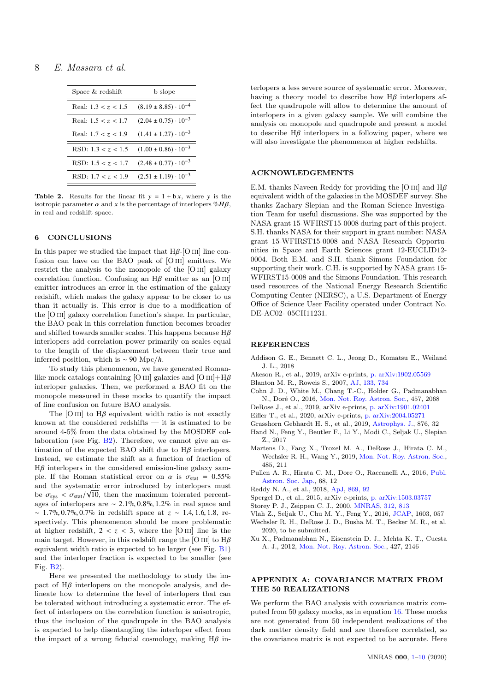# 8 E. Massara et al.

| Space & redshift      | $b$ slope                       |  |
|-----------------------|---------------------------------|--|
| Real: $1.3 < z < 1.5$ | $(8.19 \pm 8.85) \cdot 10^{-4}$ |  |
| Real: $1.5 < z < 1.7$ | $(2.04 \pm 0.75) \cdot 10^{-3}$ |  |
| Real: $1.7 < z < 1.9$ | $(1.41 \pm 1.27) \cdot 10^{-3}$ |  |
| RSD: $1.3 < z < 1.5$  | $(1.00 \pm 0.86) \cdot 10^{-3}$ |  |
| RSD: $1.5 < z < 1.7$  | $(2.48 \pm 0.77) \cdot 10^{-3}$ |  |
| RSD: $1.7 < z < 1.9$  | $(2.51 \pm 1.19) \cdot 10^{-3}$ |  |

**Table 2.** Results for the linear fit  $y = 1 + bx$ , where y is the isotropic parameter  $\alpha$  and x is the percentage of interlopers  $\mathcal{H}B$ , in real and redshift space.

## <span id="page-7-7"></span>6 CONCLUSIONS

In this paper we studied the impact that  $H\beta$ -[O III] line confusion can have on the BAO peak of [O III] emitters. We restrict the analysis to the monopole of the [O III] galaxy correlation function. Confusing an  $H\beta$  emitter as an [O III] emitter introduces an error in the estimation of the galaxy redshift, which makes the galaxy appear to be closer to us than it actually is. This error is due to a modification of the [O III] galaxy correlation function's shape. In particular, the BAO peak in this correlation function becomes broader and shifted towards smaller scales. This happens because  $H\beta$ interlopers add correlation power primarily on scales equal to the length of the displacement between their true and inferred position, which is ∼ 90 Mpc/*h*.

To study this phenomenon, we have generated Romanlike mock catalogs containing [O III] galaxies and  $[O III]+H\beta$ interloper galaxies. Then, we performed a BAO fit on the monopole measured in these mocks to quantify the impact of line confusion on future BAO analysis.

The [O III] to  $H\beta$  equivalent width ratio is not exactly known at the considered redshifts — it is estimated to be around 4-5% from the data obtained by the MOSDEF collaboration (see Fig. [B2\)](#page-9-0). Therefore, we cannot give an estimation of the expected BAO shift due to  $H\beta$  interlopers. Instead, we estimate the shift as a function of fraction of  $H\beta$  interlopers in the considered emission-line galaxy sample. If the Roman statistical error on  $\alpha$  is  $\sigma_{stat} = 0.55\%$ and the systematic error introduced by interlopers must be  $\sigma_{sys} < \sigma_{stat}/\sqrt{10}$ , then the maximum tolerated percent-<br>2006 of interlapers are  $\approx 2.1\%$  0.8%  $1.2\%$  in real space and ages of interlopers are <sup>∼</sup> <sup>2</sup>.1%, <sup>0</sup>.8%, <sup>1</sup>.2% in real space and <sup>∼</sup> <sup>1</sup>.7%, <sup>0</sup>.7%, <sup>0</sup>.7% in redshift space at *<sup>z</sup>* <sup>∼</sup> <sup>1</sup>.4, <sup>1</sup>.6, <sup>1</sup>.8, respectively. This phenomenon should be more problematic at higher redshift,  $2 < z < 3$ , where the [O III] line is the main target. However, in this redshift range the [O III] to  $H\beta$ equivalent width ratio is expected to be larger (see Fig. [B1\)](#page-9-1) and the interloper fraction is expected to be smaller (see Fig. [B2\)](#page-9-0).

Here we presented the methodology to study the impact of  $H\beta$  interlopers on the monopole analysis, and delineate how to determine the level of interlopers that can be tolerated without introducing a systematic error. The effect of interlopers on the correlation function is anisotropic, thus the inclusion of the quadrupole in the BAO analysis is expected to help disentangling the interloper effect from the impact of a wrong fiducial cosmology, making  $H\beta$  interlopers a less severe source of systematic error. Moreover, having a theory model to describe how  $H\beta$  interlopers affect the quadrupole will allow to determine the amount of interlopers in a given galaxy sample. We will combine the analysis on monopole and quadrupole and present a model to describe  $H\beta$  interlopers in a following paper, where we will also investigate the phenomenon at higher redshifts.

#### <span id="page-7-17"></span>ACKNOWLEDGEMENTS

E.M. thanks Naveen Reddy for providing the [O III] and  $H\beta$ equivalent width of the galaxies in the MOSDEF survey. She thanks Zachary Slepian and the Roman Science Investigation Team for useful discussions. She was supported by the NASA grant 15-WFIRST15-0008 during part of this project. S.H. thanks NASA for their support in grant number: NASA grant 15-WFIRST15-0008 and NASA Research Opportunities in Space and Earth Sciences grant 12-EUCLID12- 0004. Both E.M. and S.H. thank Simons Foundation for supporting their work. C.H. is supported by NASA grant 15- WFIRST15-0008 and the Simons Foundation. This research used resources of the National Energy Research Scientific Computing Center (NERSC), a U.S. Department of Energy Office of Science User Facility operated under Contract No. DE-AC02- 05CH11231.

## **REFERENCES**

- <span id="page-7-2"></span>Addison G. E., Bennett C. L., Jeong D., Komatsu E., Weiland J. L., 2018
- <span id="page-7-4"></span>Akeson R., et al., 2019, arXiv e-prints, [p. arXiv:1902.05569](https://ui.adsabs.harvard.edu/abs/2019arXiv190205569A)
- <span id="page-7-10"></span>Blanton M. R., Roweis S., 2007, [AJ,](http://dx.doi.org/10.1086/510127) [133, 734](https://ui.adsabs.harvard.edu/abs/2007AJ....133..734B)
- <span id="page-7-13"></span>Cohn J. D., White M., Chang T.-C., Holder G., Padmanabhan N., Doré O., 2016, [Mon. Not. Roy. Astron. Soc.,](http://dx.doi.org/10.1093/mnras/stw108) 457, 2068
- <span id="page-7-8"></span>DeRose J., et al., 2019, arXiv e-prints, [p. arXiv:1901.02401](https://ui.adsabs.harvard.edu/abs/2019arXiv190102401D)
- <span id="page-7-16"></span>Eifler T., et al., 2020, arXiv e-prints, [p. arXiv:2004.05271](https://ui.adsabs.harvard.edu/abs/2020arXiv200405271E)
- <span id="page-7-1"></span>Grasshorn Gebhardt H. S., et al., 2019, [Astrophys. J.,](http://dx.doi.org/10.3847/1538-4357/ab12d5) 876, 32
- <span id="page-7-11"></span>Hand N., Feng Y., Beutler F., Li Y., Modi C., Seljak U., Slepian Z., 2017
- <span id="page-7-6"></span>Martens D., Fang X., Troxel M. A., DeRose J., Hirata C. M., Wechsler R. H., Wang Y., 2019, [Mon. Not. Roy. Astron. Soc.,](http://dx.doi.org/10.1093/mnras/stz391) 485, 211
- <span id="page-7-0"></span>Pullen A. R., Hirata C. M., Dore O., Raccanelli A., 2016, [Publ.](http://dx.doi.org/10.1093/pasj/psv118) [Astron. Soc. Jap.,](http://dx.doi.org/10.1093/pasj/psv118) 68, 12
- <span id="page-7-18"></span>Reddy N. A., et al., 2018, [ApJ,](http://dx.doi.org/10.3847/1538-4357/aaed1e) [869, 92](https://ui.adsabs.harvard.edu/abs/2018ApJ...869...92R)
- <span id="page-7-3"></span>Spergel D., et al., 2015, arXiv e-prints, [p. arXiv:1503.03757](https://ui.adsabs.harvard.edu/abs/2015arXiv150303757S)
- <span id="page-7-5"></span>Storey P. J., Zeippen C. J., 2000, [MNRAS,](http://dx.doi.org/10.1046/j.1365-8711.2000.03184.x) [312, 813](https://ui.adsabs.harvard.edu/abs/2000MNRAS.312..813S)
- <span id="page-7-12"></span>Vlah Z., Seljak U., Chu M. Y., Feng Y., 2016, [JCAP,](http://dx.doi.org/10.1088/1475-7516/2016/03/057) 1603, 057
- <span id="page-7-9"></span>Wechsler R. H., DeRose J. D., Busha M. T., Becker M. R., et al. 2020, to be submitted.
- <span id="page-7-15"></span>Xu X., Padmanabhan N., Eisenstein D. J., Mehta K. T., Cuesta A. J., 2012, [Mon. Not. Roy. Astron. Soc.,](http://dx.doi.org/10.1111/j.1365-2966.2012.21573.x) 427, 2146

# <span id="page-7-14"></span>APPENDIX A: COVARIANCE MATRIX FROM THE 50 REALIZATIONS

We perform the BAO analysis with covariance matrix computed from 50 galaxy mocks, as in equation [16.](#page-5-0) These mocks are not generated from 50 independent realizations of the dark matter density field and are therefore correlated, so the covariance matrix is not expected to be accurate. Here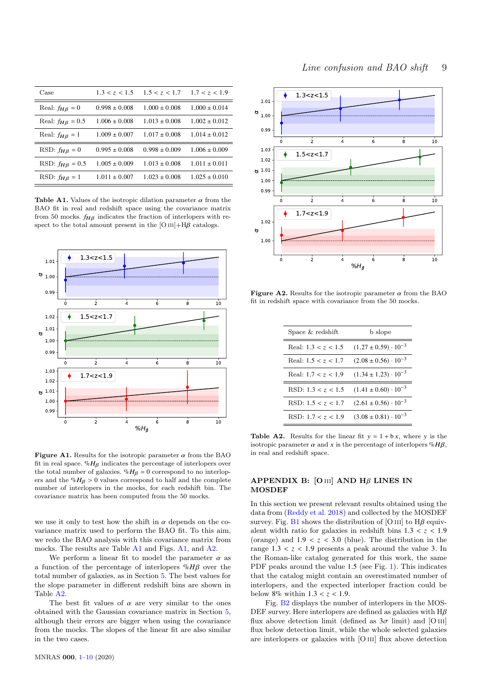| Case                     | 1.3 < z < 1.5     | 1.5 < z < 1.7     | 1.7 < z < 1.9     |
|--------------------------|-------------------|-------------------|-------------------|
| Real: $f_{HB} = 0$       | $0.998 \pm 0.008$ | $1.000 \pm 0.008$ | $1.000 \pm 0.014$ |
| Real: $f_{H\beta} = 0.5$ | $1.006 \pm 0.008$ | $1.013 \pm 0.008$ | $1.002 \pm 0.012$ |
| Real: $f_{H\beta} = 1$   | $1.009 \pm 0.007$ | $1.017 \pm 0.008$ | $1.014 \pm 0.012$ |
| RSD: $f_{HB} = 0$        | $0.995 \pm 0.008$ | $0.998 \pm 0.009$ | $1.006 \pm 0.009$ |
| RSD: $f_{HB} = 0.5$      | $1.005 \pm 0.009$ | $1.013 \pm 0.008$ | $1.011 \pm 0.011$ |
| RSD: $f_{H\beta} = 1$    | $1.011 \pm 0.007$ | $1.023 \pm 0.008$ | $1.025 \pm 0.010$ |

<span id="page-8-0"></span>Table A1. Values of the isotropic dilation parameter  $\alpha$  from the BAO fit in real and redshift space using the covariance matrix from 50 mocks.  $f_{HB}$  indicates the fraction of interlopers with respect to the total amount present in the [O  $\text{III}$ +H $\beta$  catalogs.



<span id="page-8-1"></span>Figure A1. Results for the isotropic parameter  $\alpha$  from the BAO fit in real space.  $\%H_{\beta}$  indicates the percentage of interlopers over the total number of galaxies.  $\%H_{\beta} = 0$  correspond to no interlopers and the % $H_B > 0$  values correspond to half and the complete number of interlopers in the mocks, for each redshift bin. The covariance matrix has been computed from the 50 mocks.

we use it only to test how the shift in  $\alpha$  depends on the covariance matrix used to perform the BAO fit. To this aim, we redo the BAO analysis with this covariance matrix from mocks. The results are Table [A1](#page-8-0) and Figs. [A1,](#page-8-1) and [A2.](#page-8-2)

We perform a linear fit to model the parameter  $\alpha$  as a function of the percentage of interlopers %*H*β over the total number of galaxies, as in Section [5.](#page-3-0) The best values for the slope parameter in different redshift bins are shown in Table [A2.](#page-8-3)

The best fit values of  $\alpha$  are very similar to the ones obtained with the Gaussian covariance matrix in Section [5,](#page-3-0) although their errors are bigger when using the covariance from the mocks. The slopes of the linear fit are also similar in the two cases.



<span id="page-8-2"></span>Figure A2. Results for the isotropic parameter  $\alpha$  from the BAO fit in redshift space with covariance from the 50 mocks.

<span id="page-8-3"></span>

| Space & redshift      | b slope                         |  |
|-----------------------|---------------------------------|--|
| Real: $1.3 < z < 1.5$ | $(1.27 \pm 0.59) \cdot 10^{-3}$ |  |
| Real: $1.5 < z < 1.7$ | $(2.08 \pm 0.56) \cdot 10^{-3}$ |  |
| Real: $1.7 < z < 1.9$ | $(1.34 \pm 1.23) \cdot 10^{-3}$ |  |
| RSD: $1.3 < z < 1.5$  | $(1.41 \pm 0.60) \cdot 10^{-3}$ |  |
| RSD: $1.5 < z < 1.7$  | $(2.61 \pm 0.56) \cdot 10^{-3}$ |  |
| RSD: $1.7 < z < 1.9$  | $(3.08 \pm 0.81) \cdot 10^{-3}$ |  |

**Table A2.** Results for the linear fit  $y = 1 + bx$ , where y is the isotropic parameter  $\alpha$  and x is the percentage of interlopers  $\mathcal{H}B$ , in real and redshift space.

# APPENDIX B:  $[O\text{III}]$  AND H $\beta$  LINES IN **MOSDEF**

In this section we present relevant results obtained using the data from [\(Reddy et al.](#page-7-18) [2018\)](#page-7-18) and collected by the MOSDEF survey. Fig. [B1](#page-9-1) shows the distribution of [O III] to  $H\beta$  equivalent width ratio for galaxies in redshift bins  $1.3 < z < 1.9$ (orange) and  $1.9 < z < 3.0$  (blue). The distribution in the range  $1.3 < z < 1.9$  presents a peak around the value 3. In the Roman-like catalog generated for this work, the same PDF peaks around the value <sup>1</sup>.<sup>5</sup> (see Fig. [1\)](#page-1-1). This indicates that the catalog might contain an overestimated number of interlopers, and the expected interloper fraction could be below  $8\%$  within  $1.3 < z < 1.9$ .

Fig. [B2](#page-9-0) displays the number of interlopers in the MOS-DEF survey. Here interlopers are defined as galaxies with  $H\beta$ flux above detection limit (defined as  $3\sigma$  limit) and [O III] flux below detection limit, while the whole selected galaxies are interlopers or galaxies with [O iii] flux above detection